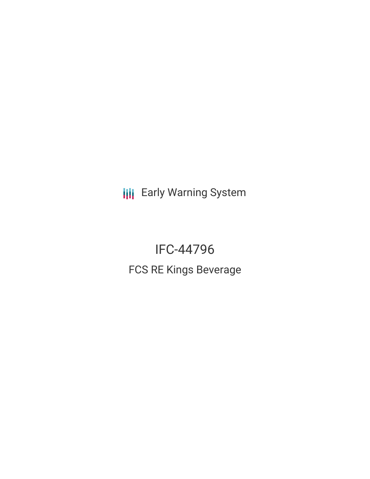**III** Early Warning System

IFC-44796 FCS RE Kings Beverage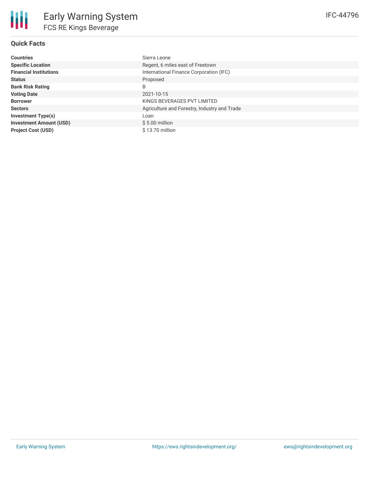# **Quick Facts**

| <b>Countries</b>               | Sierra Leone                                 |
|--------------------------------|----------------------------------------------|
| <b>Specific Location</b>       | Regent, 6 miles east of Freetown             |
| <b>Financial Institutions</b>  | International Finance Corporation (IFC)      |
| <b>Status</b>                  | Proposed                                     |
| <b>Bank Risk Rating</b>        | B                                            |
| <b>Voting Date</b>             | 2021-10-15                                   |
| <b>Borrower</b>                | KINGS BEVERAGES PVT LIMITED                  |
| <b>Sectors</b>                 | Agriculture and Forestry, Industry and Trade |
| <b>Investment Type(s)</b>      | Loan                                         |
| <b>Investment Amount (USD)</b> | $$5.00$ million                              |
| <b>Project Cost (USD)</b>      | $$13.70$ million                             |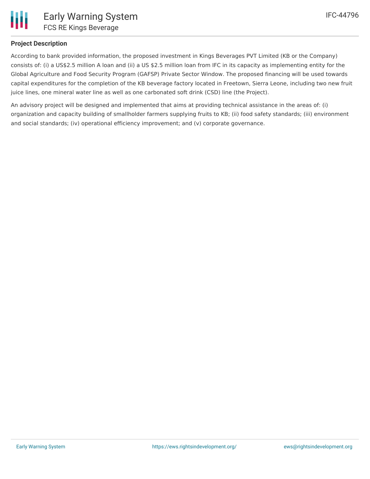

## **Project Description**

According to bank provided information, the proposed investment in Kings Beverages PVT Limited (KB or the Company) consists of: (i) a US\$2.5 million A loan and (ii) a US \$2.5 million loan from IFC in its capacity as implementing entity for the Global Agriculture and Food Security Program (GAFSP) Private Sector Window. The proposed financing will be used towards capital expenditures for the completion of the KB beverage factory located in Freetown, Sierra Leone, including two new fruit juice lines, one mineral water line as well as one carbonated soft drink (CSD) line (the Project).

An advisory project will be designed and implemented that aims at providing technical assistance in the areas of: (i) organization and capacity building of smallholder farmers supplying fruits to KB; (ii) food safety standards; (iii) environment and social standards; (iv) operational efficiency improvement; and (v) corporate governance.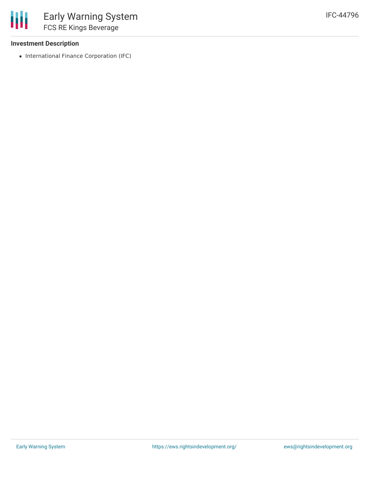### **Investment Description**

• International Finance Corporation (IFC)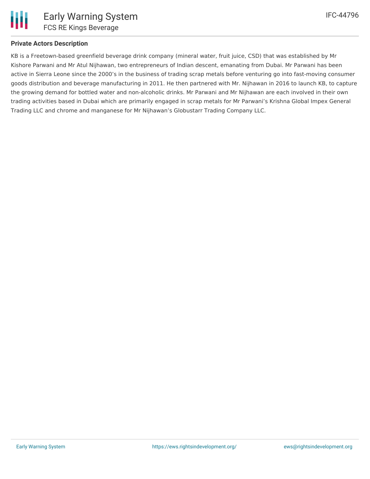### **Private Actors Description**

KB is a Freetown-based greenfield beverage drink company (mineral water, fruit juice, CSD) that was established by Mr Kishore Parwani and Mr Atul Nijhawan, two entrepreneurs of Indian descent, emanating from Dubai. Mr Parwani has been active in Sierra Leone since the 2000's in the business of trading scrap metals before venturing go into fast-moving consumer goods distribution and beverage manufacturing in 2011. He then partnered with Mr. Nijhawan in 2016 to launch KB, to capture the growing demand for bottled water and non-alcoholic drinks. Mr Parwani and Mr Nijhawan are each involved in their own trading activities based in Dubai which are primarily engaged in scrap metals for Mr Parwani's Krishna Global Impex General Trading LLC and chrome and manganese for Mr Nijhawan's Globustarr Trading Company LLC.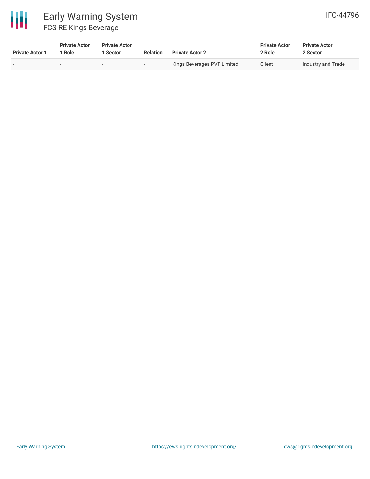

| <b>Private Actor 1</b> | <b>Private Actor</b><br>1 Role | <b>Private Actor</b><br>1 Sector | <b>Relation</b> | <b>Private Actor 2</b>      | <b>Private Actor</b><br>2 Role | <b>Private Actor</b><br>2 Sector |
|------------------------|--------------------------------|----------------------------------|-----------------|-----------------------------|--------------------------------|----------------------------------|
| . .                    | $\overline{\phantom{a}}$       | $\sim$                           |                 | Kings Beverages PVT Limited | Client                         | Industry and Trade               |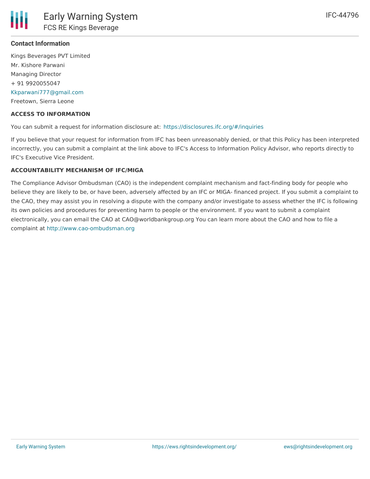## **Contact Information**

Kings Beverages PVT Limited Mr. Kishore Parwani Managing Director + 91 9920055047 [Kkparwani777@gmail.com](mailto:Kkparwani777@gmail.com) Freetown, Sierra Leone

#### **ACCESS TO INFORMATION**

You can submit a request for information disclosure at: <https://disclosures.ifc.org/#/inquiries>

If you believe that your request for information from IFC has been unreasonably denied, or that this Policy has been interpreted incorrectly, you can submit a complaint at the link above to IFC's Access to Information Policy Advisor, who reports directly to IFC's Executive Vice President.

### **ACCOUNTABILITY MECHANISM OF IFC/MIGA**

The Compliance Advisor Ombudsman (CAO) is the independent complaint mechanism and fact-finding body for people who believe they are likely to be, or have been, adversely affected by an IFC or MIGA- financed project. If you submit a complaint to the CAO, they may assist you in resolving a dispute with the company and/or investigate to assess whether the IFC is following its own policies and procedures for preventing harm to people or the environment. If you want to submit a complaint electronically, you can email the CAO at CAO@worldbankgroup.org You can learn more about the CAO and how to file a complaint at <http://www.cao-ombudsman.org>